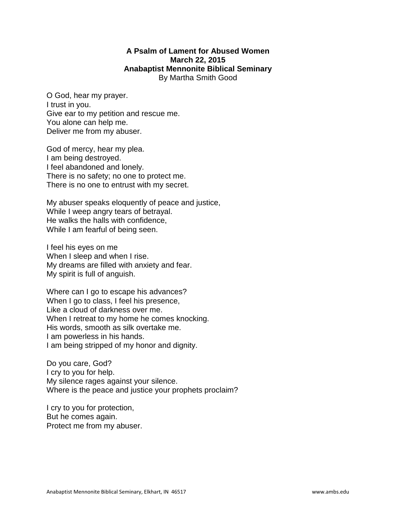## **A Psalm of Lament for Abused Women March 22, 2015 Anabaptist Mennonite Biblical Seminary**  By Martha Smith Good

O God, hear my prayer. I trust in you. Give ear to my petition and rescue me. You alone can help me. Deliver me from my abuser.

God of mercy, hear my plea. I am being destroyed. I feel abandoned and lonely. There is no safety; no one to protect me. There is no one to entrust with my secret.

My abuser speaks eloquently of peace and justice, While I weep angry tears of betrayal. He walks the halls with confidence, While I am fearful of being seen.

I feel his eyes on me When I sleep and when I rise. My dreams are filled with anxiety and fear. My spirit is full of anguish.

Where can I go to escape his advances? When I go to class, I feel his presence, Like a cloud of darkness over me. When I retreat to my home he comes knocking. His words, smooth as silk overtake me. I am powerless in his hands. I am being stripped of my honor and dignity.

Do you care, God? I cry to you for help. My silence rages against your silence. Where is the peace and justice your prophets proclaim?

I cry to you for protection, But he comes again. Protect me from my abuser.